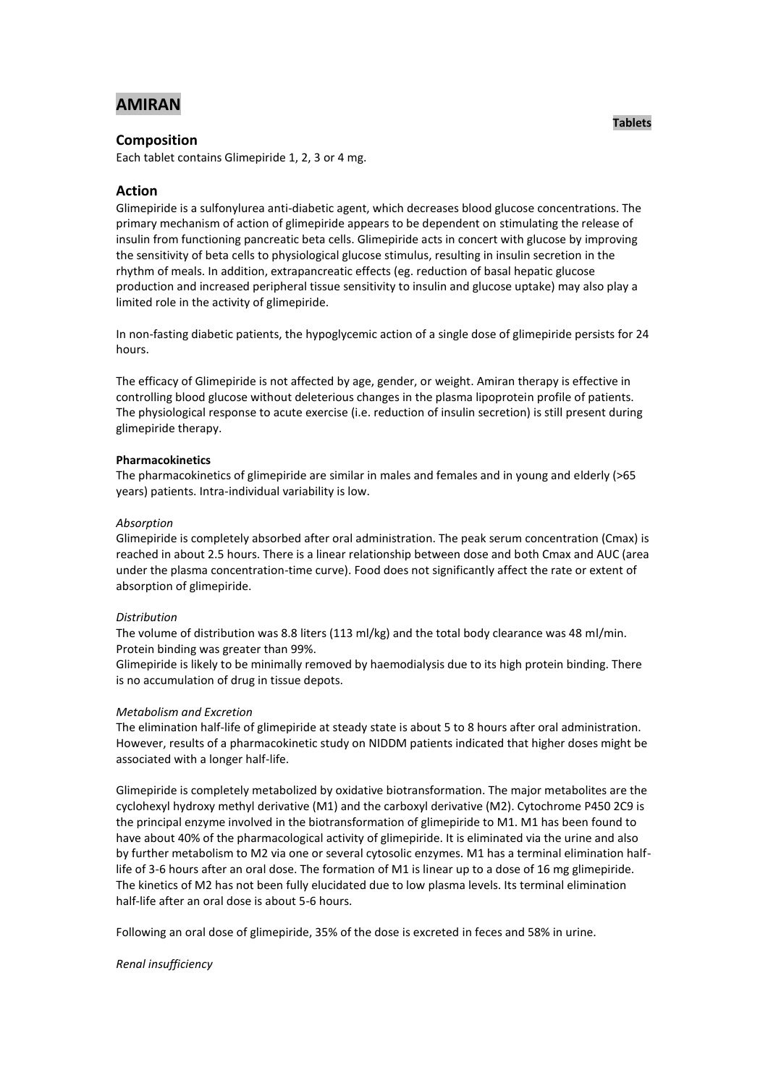# **AMIRAN**

# **Composition**

Each tablet contains Glimepiride 1, 2, 3 or 4 mg.

# **Action**

Glimepiride is a sulfonylurea anti-diabetic agent, which decreases blood glucose concentrations. The primary mechanism of action of glimepiride appears to be dependent on stimulating the release of insulin from functioning pancreatic beta cells. Glimepiride acts in concert with glucose by improving the sensitivity of beta cells to physiological glucose stimulus, resulting in insulin secretion in the rhythm of meals. In addition, extrapancreatic effects (eg. reduction of basal hepatic glucose production and increased peripheral tissue sensitivity to insulin and glucose uptake) may also play a limited role in the activity of glimepiride.

In non-fasting diabetic patients, the hypoglycemic action of a single dose of glimepiride persists for 24 hours.

The efficacy of Glimepiride is not affected by age, gender, or weight. Amiran therapy is effective in controlling blood glucose without deleterious changes in the plasma lipoprotein profile of patients. The physiological response to acute exercise (i.e. reduction of insulin secretion) is still present during glimepiride therapy.

## **Pharmacokinetics**

The pharmacokinetics of glimepiride are similar in males and females and in young and elderly (>65 years) patients. Intra-individual variability is low.

## *Absorption*

Glimepiride is completely absorbed after oral administration. The peak serum concentration (Cmax) is reached in about 2.5 hours. There is a linear relationship between dose and both Cmax and AUC (area under the plasma concentration-time curve). Food does not significantly affect the rate or extent of absorption of glimepiride.

## *Distribution*

The volume of distribution was 8.8 liters (113 ml/kg) and the total body clearance was 48 ml/min. Protein binding was greater than 99%.

Glimepiride is likely to be minimally removed by haemodialysis due to its high protein binding. There is no accumulation of drug in tissue depots.

## *Metabolism and Excretion*

The elimination half-life of glimepiride at steady state is about 5 to 8 hours after oral administration. However, results of a pharmacokinetic study on NIDDM patients indicated that higher doses might be associated with a longer half-life.

Glimepiride is completely metabolized by oxidative biotransformation. The major metabolites are the cyclohexyl hydroxy methyl derivative (M1) and the carboxyl derivative (M2). Cytochrome P450 2C9 is the principal enzyme involved in the biotransformation of glimepiride to M1. M1 has been found to have about 40% of the pharmacological activity of glimepiride. It is eliminated via the urine and also by further metabolism to M2 via one or several cytosolic enzymes. M1 has a terminal elimination halflife of 3-6 hours after an oral dose. The formation of M1 is linear up to a dose of 16 mg glimepiride. The kinetics of M2 has not been fully elucidated due to low plasma levels. Its terminal elimination half-life after an oral dose is about 5-6 hours.

Following an oral dose of glimepiride, 35% of the dose is excreted in feces and 58% in urine.

# *Renal insufficiency*

**Tablets**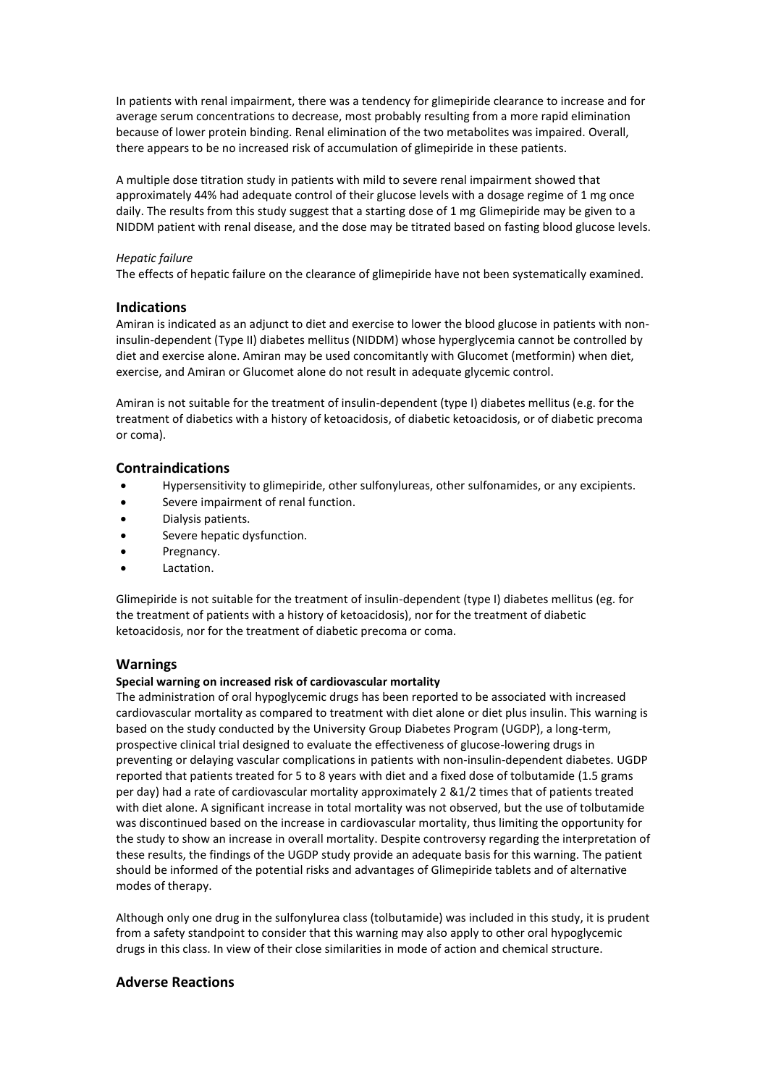In patients with renal impairment, there was a tendency for glimepiride clearance to increase and for average serum concentrations to decrease, most probably resulting from a more rapid elimination because of lower protein binding. Renal elimination of the two metabolites was impaired. Overall, there appears to be no increased risk of accumulation of glimepiride in these patients.

A multiple dose titration study in patients with mild to severe renal impairment showed that approximately 44% had adequate control of their glucose levels with a dosage regime of 1 mg once daily. The results from this study suggest that a starting dose of 1 mg Glimepiride may be given to a NIDDM patient with renal disease, and the dose may be titrated based on fasting blood glucose levels.

## *Hepatic failure*

The effects of hepatic failure on the clearance of glimepiride have not been systematically examined.

# **Indications**

Amiran is indicated as an adjunct to diet and exercise to lower the blood glucose in patients with noninsulin-dependent (Type II) diabetes mellitus (NIDDM) whose hyperglycemia cannot be controlled by diet and exercise alone. Amiran may be used concomitantly with Glucomet (metformin) when diet, exercise, and Amiran or Glucomet alone do not result in adequate glycemic control.

Amiran is not suitable for the treatment of insulin-dependent (type I) diabetes mellitus (e.g. for the treatment of diabetics with a history of ketoacidosis, of diabetic ketoacidosis, or of diabetic precoma or coma).

# **Contraindications**

- Hypersensitivity to glimepiride, other sulfonylureas, other sulfonamides, or any excipients.
- Severe impairment of renal function.
- Dialysis patients.
- Severe hepatic dysfunction.
- Pregnancy.
- Lactation.

Glimepiride is not suitable for the treatment of insulin-dependent (type I) diabetes mellitus (eg. for the treatment of patients with a history of ketoacidosis), nor for the treatment of diabetic ketoacidosis, nor for the treatment of diabetic precoma or coma.

# **Warnings**

# **Special warning on increased risk of cardiovascular mortality**

The administration of oral hypoglycemic drugs has been reported to be associated with increased cardiovascular mortality as compared to treatment with diet alone or diet plus insulin. This warning is based on the study conducted by the University Group Diabetes Program (UGDP), a long-term, prospective clinical trial designed to evaluate the effectiveness of glucose-lowering drugs in preventing or delaying vascular complications in patients with non-insulin-dependent diabetes. UGDP reported that patients treated for 5 to 8 years with diet and a fixed dose of tolbutamide (1.5 grams per day) had a rate of cardiovascular mortality approximately 2 &1/2 times that of patients treated with diet alone. A significant increase in total mortality was not observed, but the use of tolbutamide was discontinued based on the increase in cardiovascular mortality, thus limiting the opportunity for the study to show an increase in overall mortality. Despite controversy regarding the interpretation of these results, the findings of the UGDP study provide an adequate basis for this warning. The patient should be informed of the potential risks and advantages of Glimepiride tablets and of alternative modes of therapy.

Although only one drug in the sulfonylurea class (tolbutamide) was included in this study, it is prudent from a safety standpoint to consider that this warning may also apply to other oral hypoglycemic drugs in this class. In view of their close similarities in mode of action and chemical structure.

# **Adverse Reactions**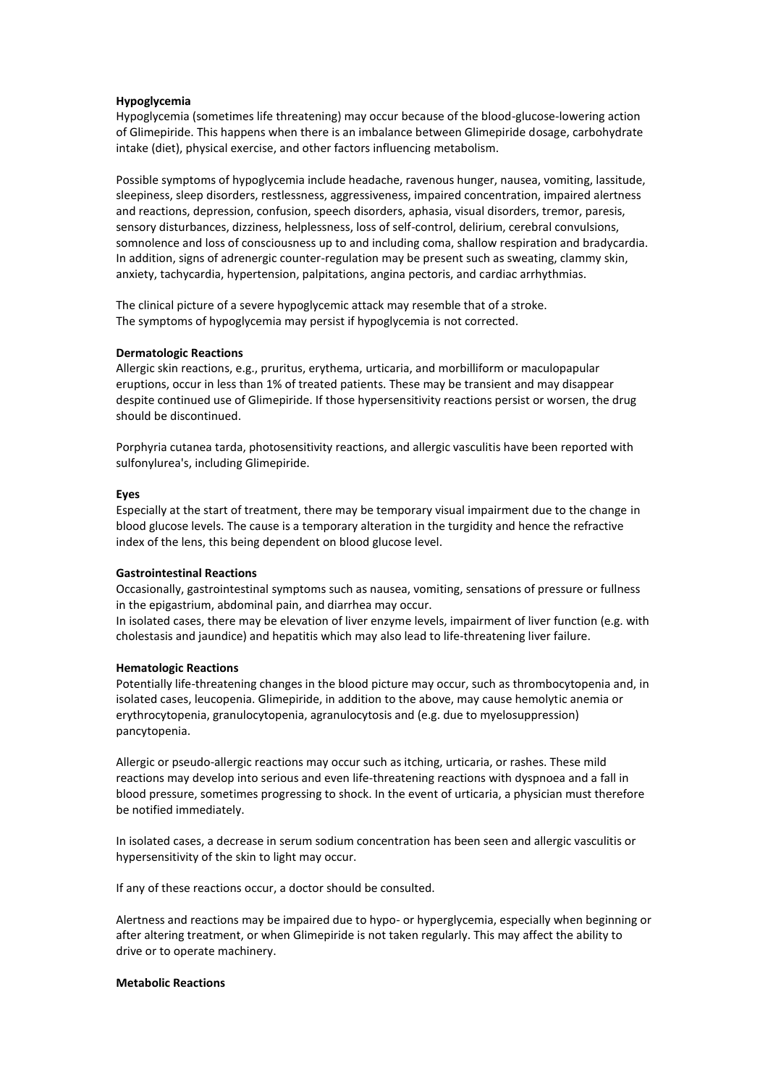## **Hypoglycemia**

Hypoglycemia (sometimes life threatening) may occur because of the blood-glucose-lowering action of Glimepiride. This happens when there is an imbalance between Glimepiride dosage, carbohydrate intake (diet), physical exercise, and other factors influencing metabolism.

Possible symptoms of hypoglycemia include headache, ravenous hunger, nausea, vomiting, lassitude, sleepiness, sleep disorders, restlessness, aggressiveness, impaired concentration, impaired alertness and reactions, depression, confusion, speech disorders, aphasia, visual disorders, tremor, paresis, sensory disturbances, dizziness, helplessness, loss of self-control, delirium, cerebral convulsions, somnolence and loss of consciousness up to and including coma, shallow respiration and bradycardia. In addition, signs of adrenergic counter-regulation may be present such as sweating, clammy skin, anxiety, tachycardia, hypertension, palpitations, angina pectoris, and cardiac arrhythmias.

The clinical picture of a severe hypoglycemic attack may resemble that of a stroke. The symptoms of hypoglycemia may persist if hypoglycemia is not corrected.

## **Dermatologic Reactions**

Allergic skin reactions, e.g., pruritus, erythema, urticaria, and morbilliform or maculopapular eruptions, occur in less than 1% of treated patients. These may be transient and may disappear despite continued use of Glimepiride. If those hypersensitivity reactions persist or worsen, the drug should be discontinued.

Porphyria cutanea tarda, photosensitivity reactions, and allergic vasculitis have been reported with sulfonylurea's, including Glimepiride.

## **Eyes**

Especially at the start of treatment, there may be temporary visual impairment due to the change in blood glucose levels. The cause is a temporary alteration in the turgidity and hence the refractive index of the lens, this being dependent on blood glucose level.

## **Gastrointestinal Reactions**

Occasionally, gastrointestinal symptoms such as nausea, vomiting, sensations of pressure or fullness in the epigastrium, abdominal pain, and diarrhea may occur.

In isolated cases, there may be elevation of liver enzyme levels, impairment of liver function (e.g. with cholestasis and jaundice) and hepatitis which may also lead to life-threatening liver failure.

## **Hematologic Reactions**

Potentially life-threatening changes in the blood picture may occur, such as thrombocytopenia and, in isolated cases, leucopenia. Glimepiride, in addition to the above, may cause hemolytic anemia or erythrocytopenia, granulocytopenia, agranulocytosis and (e.g. due to myelosuppression) pancytopenia.

Allergic or pseudo-allergic reactions may occur such as itching, urticaria, or rashes. These mild reactions may develop into serious and even life-threatening reactions with dyspnoea and a fall in blood pressure, sometimes progressing to shock. In the event of urticaria, a physician must therefore be notified immediately.

In isolated cases, a decrease in serum sodium concentration has been seen and allergic vasculitis or hypersensitivity of the skin to light may occur.

If any of these reactions occur, a doctor should be consulted.

Alertness and reactions may be impaired due to hypo- or hyperglycemia, especially when beginning or after altering treatment, or when Glimepiride is not taken regularly. This may affect the ability to drive or to operate machinery.

## **Metabolic Reactions**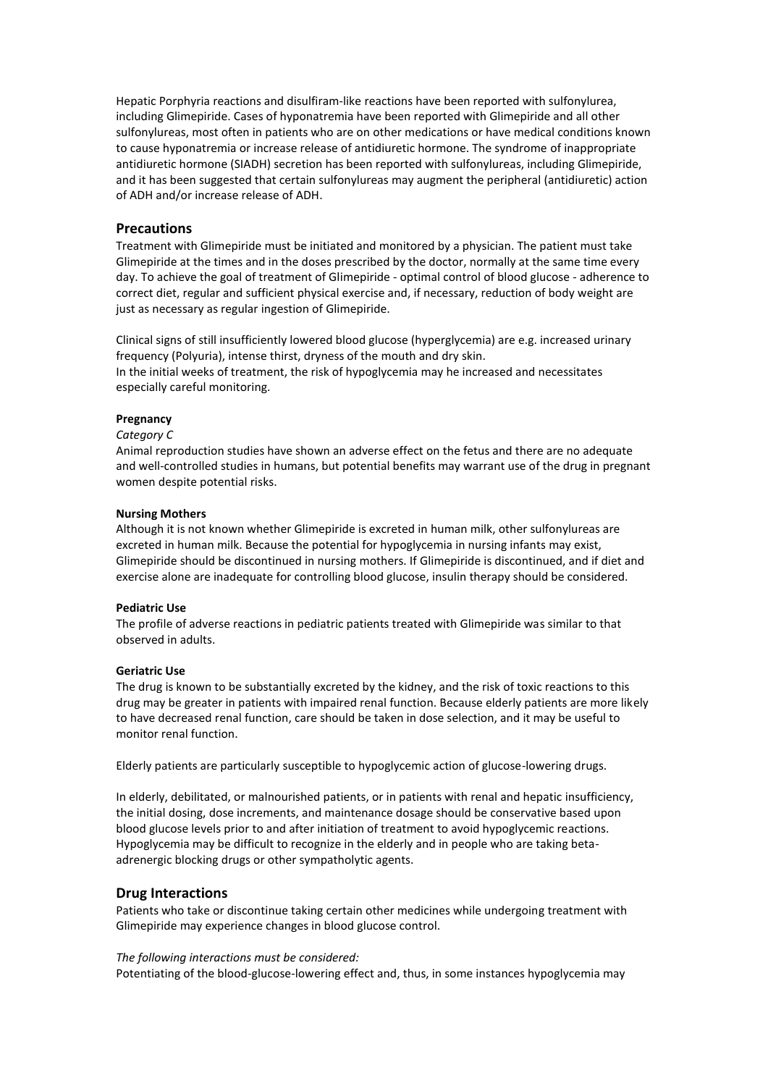Hepatic Porphyria reactions and disulfiram-like reactions have been reported with sulfonylurea, including Glimepiride. Cases of hyponatremia have been reported with Glimepiride and all other sulfonylureas, most often in patients who are on other medications or have medical conditions known to cause hyponatremia or increase release of antidiuretic hormone. The syndrome of inappropriate antidiuretic hormone (SIADH) secretion has been reported with sulfonylureas, including Glimepiride, and it has been suggested that certain sulfonylureas may augment the peripheral (antidiuretic) action of ADH and/or increase release of ADH.

# **Precautions**

Treatment with Glimepiride must be initiated and monitored by a physician. The patient must take Glimepiride at the times and in the doses prescribed by the doctor, normally at the same time every day. To achieve the goal of treatment of Glimepiride - optimal control of blood glucose - adherence to correct diet, regular and sufficient physical exercise and, if necessary, reduction of body weight are just as necessary as regular ingestion of Glimepiride.

Clinical signs of still insufficiently lowered blood glucose (hyperglycemia) are e.g. increased urinary frequency (Polyuria), intense thirst, dryness of the mouth and dry skin. In the initial weeks of treatment, the risk of hypoglycemia may he increased and necessitates especially careful monitoring.

# **Pregnancy**

#### *Category C*

Animal reproduction studies have shown an adverse effect on the fetus and there are no adequate and well-controlled studies in humans, but potential benefits may warrant use of the drug in pregnant women despite potential risks.

#### **Nursing Mothers**

Although it is not known whether Glimepiride is excreted in human milk, other sulfonylureas are excreted in human milk. Because the potential for hypoglycemia in nursing infants may exist, Glimepiride should be discontinued in nursing mothers. If Glimepiride is discontinued, and if diet and exercise alone are inadequate for controlling blood glucose, insulin therapy should be considered.

## **Pediatric Use**

The profile of adverse reactions in pediatric patients treated with Glimepiride was similar to that observed in adults.

## **Geriatric Use**

The drug is known to be substantially excreted by the kidney, and the risk of toxic reactions to this drug may be greater in patients with impaired renal function. Because elderly patients are more likely to have decreased renal function, care should be taken in dose selection, and it may be useful to monitor renal function.

Elderly patients are particularly susceptible to hypoglycemic action of glucose-lowering drugs.

In elderly, debilitated, or malnourished patients, or in patients with renal and hepatic insufficiency, the initial dosing, dose increments, and maintenance dosage should be conservative based upon blood glucose levels prior to and after initiation of treatment to avoid hypoglycemic reactions. Hypoglycemia may be difficult to recognize in the elderly and in people who are taking betaadrenergic blocking drugs or other sympatholytic agents.

# **Drug Interactions**

Patients who take or discontinue taking certain other medicines while undergoing treatment with Glimepiride may experience changes in blood glucose control.

#### *The following interactions must be considered:*

Potentiating of the blood-glucose-lowering effect and, thus, in some instances hypoglycemia may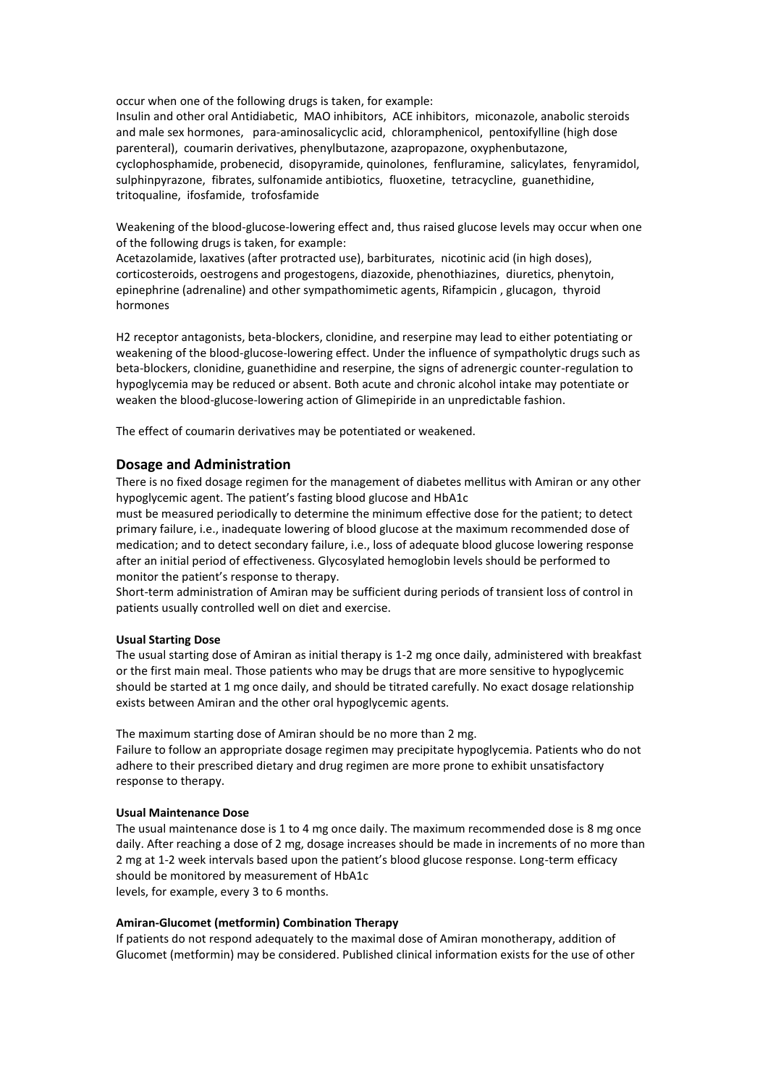occur when one of the following drugs is taken, for example:

Insulin and other oral Antidiabetic, MAO inhibitors, ACE inhibitors, miconazole, anabolic steroids and male sex hormones, para-aminosalicyclic acid, chloramphenicol, pentoxifylline (high dose parenteral), coumarin derivatives, phenylbutazone, azapropazone, oxyphenbutazone, cyclophosphamide, probenecid, disopyramide, quinolones, fenfluramine, salicylates, fenyramidol, sulphinpyrazone, fibrates, sulfonamide antibiotics, fluoxetine, tetracycline, guanethidine, tritoqualine, ifosfamide, trofosfamide

Weakening of the blood-glucose-lowering effect and, thus raised glucose levels may occur when one of the following drugs is taken, for example:

Acetazolamide, laxatives (after protracted use), barbiturates, nicotinic acid (in high doses), corticosteroids, oestrogens and progestogens, diazoxide, phenothiazines, diuretics, phenytoin, epinephrine (adrenaline) and other sympathomimetic agents, Rifampicin , glucagon, thyroid hormones

H2 receptor antagonists, beta-blockers, clonidine, and reserpine may lead to either potentiating or weakening of the blood-glucose-lowering effect. Under the influence of sympatholytic drugs such as beta-blockers, clonidine, guanethidine and reserpine, the signs of adrenergic counter-regulation to hypoglycemia may be reduced or absent. Both acute and chronic alcohol intake may potentiate or weaken the blood-glucose-lowering action of Glimepiride in an unpredictable fashion.

The effect of coumarin derivatives may be potentiated or weakened.

# **Dosage and Administration**

There is no fixed dosage regimen for the management of diabetes mellitus with Amiran or any other hypoglycemic agent. The patient's fasting blood glucose and HbA1c

must be measured periodically to determine the minimum effective dose for the patient; to detect primary failure, i.e., inadequate lowering of blood glucose at the maximum recommended dose of medication; and to detect secondary failure, i.e., loss of adequate blood glucose lowering response after an initial period of effectiveness. Glycosylated hemoglobin levels should be performed to monitor the patient's response to therapy.

Short-term administration of Amiran may be sufficient during periods of transient loss of control in patients usually controlled well on diet and exercise.

## **Usual Starting Dose**

The usual starting dose of Amiran as initial therapy is 1-2 mg once daily, administered with breakfast or the first main meal. Those patients who may be drugs that are more sensitive to hypoglycemic should be started at 1 mg once daily, and should be titrated carefully. No exact dosage relationship exists between Amiran and the other oral hypoglycemic agents.

The maximum starting dose of Amiran should be no more than 2 mg. Failure to follow an appropriate dosage regimen may precipitate hypoglycemia. Patients who do not adhere to their prescribed dietary and drug regimen are more prone to exhibit unsatisfactory response to therapy.

## **Usual Maintenance Dose**

The usual maintenance dose is 1 to 4 mg once daily. The maximum recommended dose is 8 mg once daily. After reaching a dose of 2 mg, dosage increases should be made in increments of no more than 2 mg at 1-2 week intervals based upon the patient's blood glucose response. Long-term efficacy should be monitored by measurement of HbA1c levels, for example, every 3 to 6 months.

# **Amiran-Glucomet (metformin) Combination Therapy**

If patients do not respond adequately to the maximal dose of Amiran monotherapy, addition of Glucomet (metformin) may be considered. Published clinical information exists for the use of other